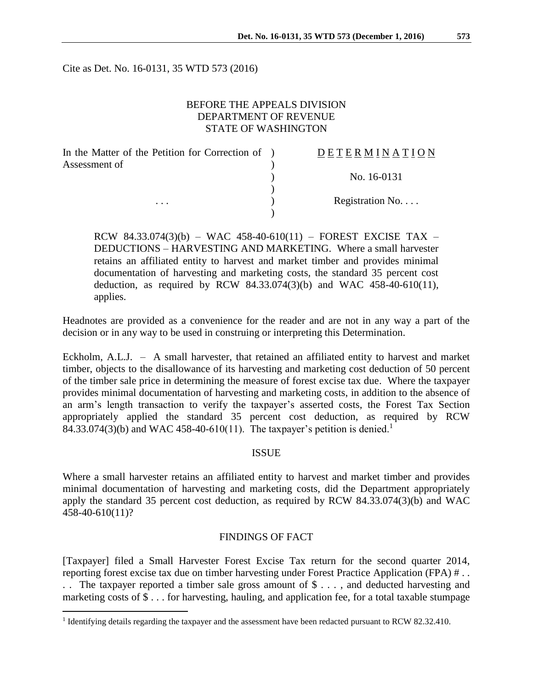Cite as Det. No. 16-0131, 35 WTD 573 (2016)

## BEFORE THE APPEALS DIVISION DEPARTMENT OF REVENUE STATE OF WASHINGTON

| In the Matter of the Petition for Correction of ) | DETERMINATION   |
|---------------------------------------------------|-----------------|
| Assessment of                                     |                 |
|                                                   | No. 16-0131     |
|                                                   |                 |
| .                                                 | Registration No |
|                                                   |                 |

RCW 84.33.074(3)(b) – WAC 458-40-610(11) – FOREST EXCISE TAX – DEDUCTIONS – HARVESTING AND MARKETING. Where a small harvester retains an affiliated entity to harvest and market timber and provides minimal documentation of harvesting and marketing costs, the standard 35 percent cost deduction, as required by RCW 84.33.074(3)(b) and WAC 458-40-610(11), applies.

Headnotes are provided as a convenience for the reader and are not in any way a part of the decision or in any way to be used in construing or interpreting this Determination.

Eckholm, A.L.J. – A small harvester, that retained an affiliated entity to harvest and market timber, objects to the disallowance of its harvesting and marketing cost deduction of 50 percent of the timber sale price in determining the measure of forest excise tax due. Where the taxpayer provides minimal documentation of harvesting and marketing costs, in addition to the absence of an arm's length transaction to verify the taxpayer's asserted costs, the Forest Tax Section appropriately applied the standard 35 percent cost deduction, as required by RCW 84.33.074(3)(b) and WAC 458-40-610(11). The taxpayer's petition is denied.<sup>1</sup>

#### **ISSUE**

Where a small harvester retains an affiliated entity to harvest and market timber and provides minimal documentation of harvesting and marketing costs, did the Department appropriately apply the standard 35 percent cost deduction, as required by RCW 84.33.074(3)(b) and WAC 458-40-610(11)?

### FINDINGS OF FACT

[Taxpayer] filed a Small Harvester Forest Excise Tax return for the second quarter 2014, reporting forest excise tax due on timber harvesting under Forest Practice Application (FPA) # . . . . The taxpayer reported a timber sale gross amount of \$ . . . , and deducted harvesting and marketing costs of \$ . . . for harvesting, hauling, and application fee, for a total taxable stumpage

 $\overline{a}$ 

<sup>&</sup>lt;sup>1</sup> Identifying details regarding the taxpayer and the assessment have been redacted pursuant to RCW 82.32.410.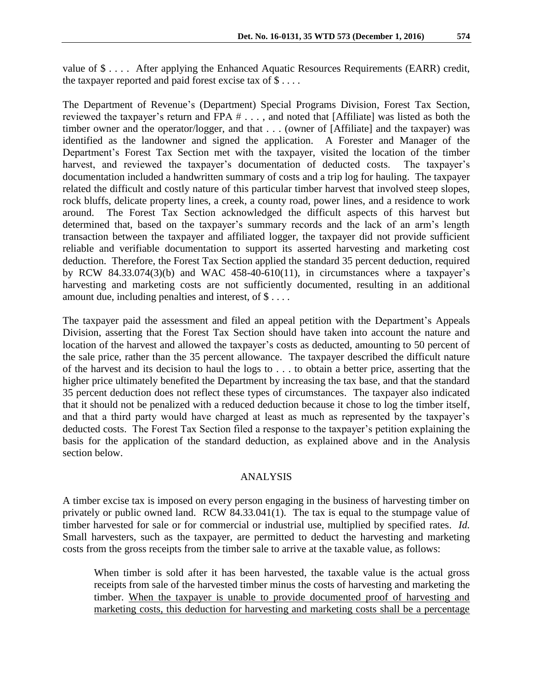value of \$ . . . . After applying the Enhanced Aquatic Resources Requirements (EARR) credit, the taxpayer reported and paid forest excise tax of  $\$\dots$ .

The Department of Revenue's (Department) Special Programs Division, Forest Tax Section, reviewed the taxpayer's return and FPA # . . . , and noted that [Affiliate] was listed as both the timber owner and the operator/logger, and that . . . (owner of [Affiliate] and the taxpayer) was identified as the landowner and signed the application. A Forester and Manager of the Department's Forest Tax Section met with the taxpayer, visited the location of the timber harvest, and reviewed the taxpayer's documentation of deducted costs. The taxpayer's documentation included a handwritten summary of costs and a trip log for hauling. The taxpayer related the difficult and costly nature of this particular timber harvest that involved steep slopes, rock bluffs, delicate property lines, a creek, a county road, power lines, and a residence to work around. The Forest Tax Section acknowledged the difficult aspects of this harvest but determined that, based on the taxpayer's summary records and the lack of an arm's length transaction between the taxpayer and affiliated logger, the taxpayer did not provide sufficient reliable and verifiable documentation to support its asserted harvesting and marketing cost deduction. Therefore, the Forest Tax Section applied the standard 35 percent deduction, required by RCW 84.33.074(3)(b) and WAC 458-40-610(11), in circumstances where a taxpayer's harvesting and marketing costs are not sufficiently documented, resulting in an additional amount due, including penalties and interest, of \$ . . . .

The taxpayer paid the assessment and filed an appeal petition with the Department's Appeals Division, asserting that the Forest Tax Section should have taken into account the nature and location of the harvest and allowed the taxpayer's costs as deducted, amounting to 50 percent of the sale price, rather than the 35 percent allowance. The taxpayer described the difficult nature of the harvest and its decision to haul the logs to . . . to obtain a better price, asserting that the higher price ultimately benefited the Department by increasing the tax base, and that the standard 35 percent deduction does not reflect these types of circumstances. The taxpayer also indicated that it should not be penalized with a reduced deduction because it chose to log the timber itself, and that a third party would have charged at least as much as represented by the taxpayer's deducted costs. The Forest Tax Section filed a response to the taxpayer's petition explaining the basis for the application of the standard deduction, as explained above and in the Analysis section below.

#### ANALYSIS

A timber excise tax is imposed on every person engaging in the business of harvesting timber on privately or public owned land. RCW 84.33.041(1). The tax is equal to the stumpage value of timber harvested for sale or for commercial or industrial use, multiplied by specified rates. *Id.*  Small harvesters, such as the taxpayer, are permitted to deduct the harvesting and marketing costs from the gross receipts from the timber sale to arrive at the taxable value, as follows:

When timber is sold after it has been harvested, the taxable value is the actual gross receipts from sale of the harvested timber minus the costs of harvesting and marketing the timber. When the taxpayer is unable to provide documented proof of harvesting and marketing costs, this deduction for harvesting and marketing costs shall be a percentage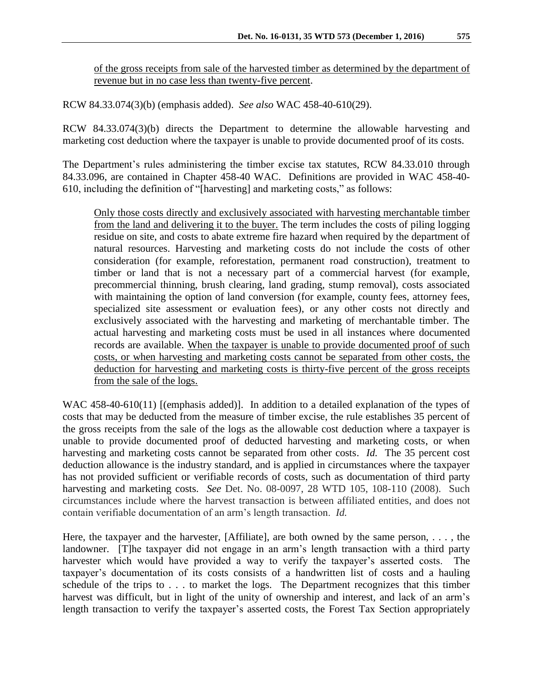of the gross receipts from sale of the harvested timber as determined by the department of revenue but in no case less than twenty-five percent.

RCW 84.33.074(3)(b) (emphasis added). *See also* WAC 458-40-610(29).

RCW 84.33.074(3)(b) directs the Department to determine the allowable harvesting and marketing cost deduction where the taxpayer is unable to provide documented proof of its costs.

The Department's rules administering the timber excise tax statutes, RCW 84.33.010 through 84.33.096, are contained in Chapter 458-40 WAC. Definitions are provided in WAC 458-40- 610, including the definition of "[harvesting] and marketing costs," as follows:

Only those costs directly and exclusively associated with harvesting merchantable timber from the land and delivering it to the buyer. The term includes the costs of piling logging residue on site, and costs to abate extreme fire hazard when required by the department of natural resources. Harvesting and marketing costs do not include the costs of other consideration (for example, reforestation, permanent road construction), treatment to timber or land that is not a necessary part of a commercial harvest (for example, precommercial thinning, brush clearing, land grading, stump removal), costs associated with maintaining the option of land conversion (for example, county fees, attorney fees, specialized site assessment or evaluation fees), or any other costs not directly and exclusively associated with the harvesting and marketing of merchantable timber. The actual harvesting and marketing costs must be used in all instances where documented records are available. When the taxpayer is unable to provide documented proof of such costs, or when harvesting and marketing costs cannot be separated from other costs, the deduction for harvesting and marketing costs is thirty-five percent of the gross receipts from the sale of the logs.

WAC 458-40-610(11) [(emphasis added)]. In addition to a detailed explanation of the types of costs that may be deducted from the measure of timber excise, the rule establishes 35 percent of the gross receipts from the sale of the logs as the allowable cost deduction where a taxpayer is unable to provide documented proof of deducted harvesting and marketing costs, or when harvesting and marketing costs cannot be separated from other costs. *Id.* The 35 percent cost deduction allowance is the industry standard, and is applied in circumstances where the taxpayer has not provided sufficient or verifiable records of costs, such as documentation of third party harvesting and marketing costs. *See* Det. No. 08-0097, 28 WTD 105, 108-110 (2008). Such circumstances include where the harvest transaction is between affiliated entities, and does not contain verifiable documentation of an arm's length transaction. *Id.*

Here, the taxpayer and the harvester, [Affiliate], are both owned by the same person, . . . , the landowner. [T]he taxpayer did not engage in an arm's length transaction with a third party harvester which would have provided a way to verify the taxpayer's asserted costs. taxpayer's documentation of its costs consists of a handwritten list of costs and a hauling schedule of the trips to . . . to market the logs. The Department recognizes that this timber harvest was difficult, but in light of the unity of ownership and interest, and lack of an arm's length transaction to verify the taxpayer's asserted costs, the Forest Tax Section appropriately